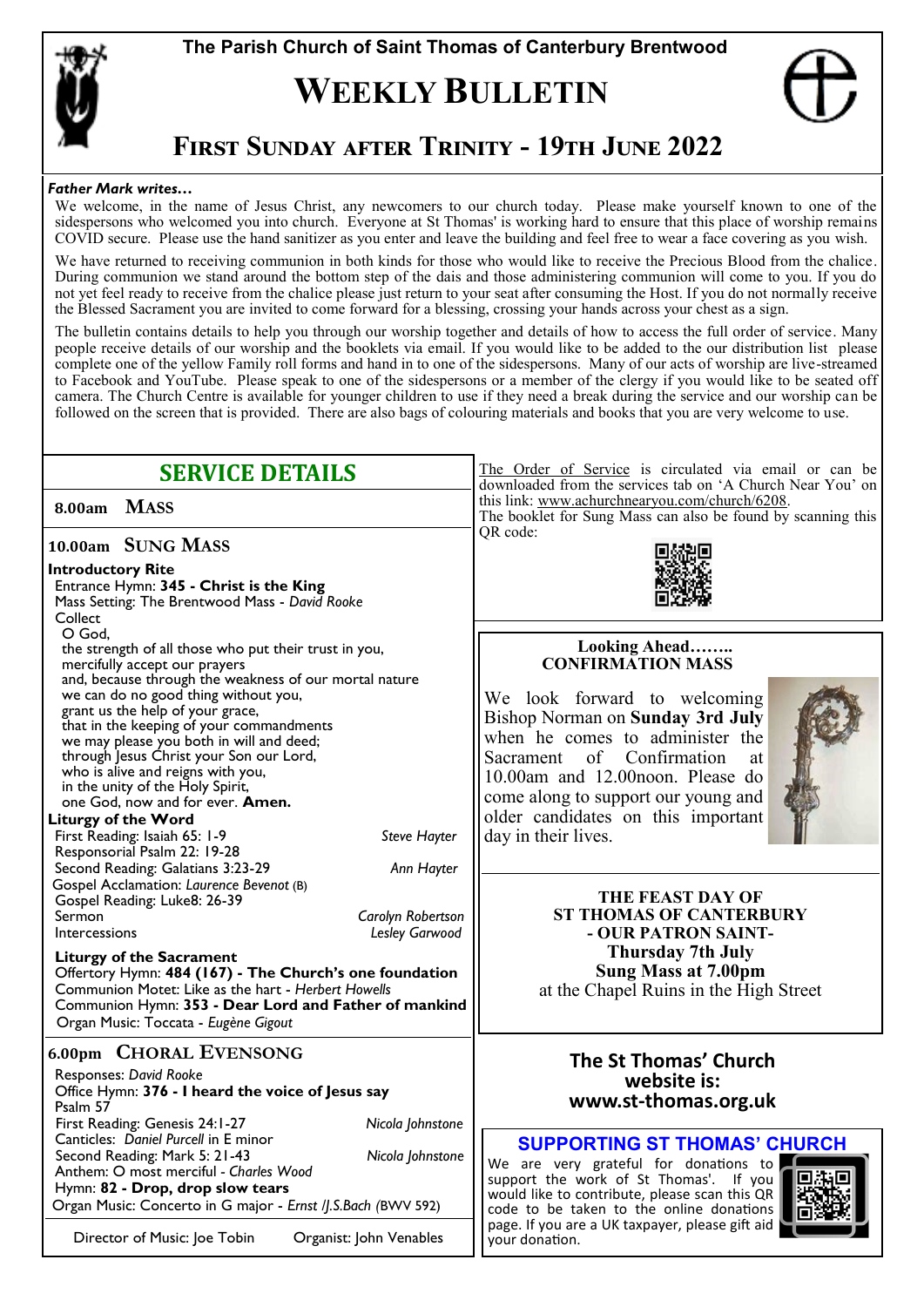

**The Parish Church of Saint Thomas of Canterbury Brentwood**

## **WEEKLY BULLETIN**



## **First Sunday after Trinity - 19th June 2022**

#### *Father Mark writes…*

We welcome, in the name of Jesus Christ, any newcomers to our church today. Please make yourself known to one of the sidespersons who welcomed you into church. Everyone at St Thomas' is working hard to ensure that this place of worship remains COVID secure. Please use the hand sanitizer as you enter and leave the building and feel free to wear a face covering as you wish.

We have returned to receiving communion in both kinds for those who would like to receive the Precious Blood from the chalice. During communion we stand around the bottom step of the dais and those administering communion will come to you. If you do not yet feel ready to receive from the chalice please just return to your seat after consuming the Host. If you do not normally receive the Blessed Sacrament you are invited to come forward for a blessing, crossing your hands across your chest as a sign.

The bulletin contains details to help you through our worship together and details of how to access the full order of service. Many people receive details of our worship and the booklets via email. If you would like to be added to the our distribution list please complete one of the yellow Family roll forms and hand in to one of the sidespersons. Many of our acts of worship are live-streamed to Facebook and YouTube. Please speak to one of the sidespersons or a member of the clergy if you would like to be seated off camera. The Church Centre is available for younger children to use if they need a break during the service and our worship can be followed on the screen that is provided. There are also bags of colouring materials and books that you are very welcome to use.

| <b>SERVICE DETAILS</b>                                                                                                                                                                                                                                                                                                                                                                                                                                                                                                                                                                                       | The Order of Service is circulated via email or can be<br>downloaded from the services tab on 'A Church Near You' on<br>this link: www.achurchnearyou.com/church/6208.<br>The booklet for Sung Mass can also be found by scanning this                                                                                                |  |
|--------------------------------------------------------------------------------------------------------------------------------------------------------------------------------------------------------------------------------------------------------------------------------------------------------------------------------------------------------------------------------------------------------------------------------------------------------------------------------------------------------------------------------------------------------------------------------------------------------------|---------------------------------------------------------------------------------------------------------------------------------------------------------------------------------------------------------------------------------------------------------------------------------------------------------------------------------------|--|
| <b>MASS</b><br>8.00am                                                                                                                                                                                                                                                                                                                                                                                                                                                                                                                                                                                        |                                                                                                                                                                                                                                                                                                                                       |  |
| 10.00am SUNG MASS<br><b>Introductory Rite</b><br>Entrance Hymn: 345 - Christ is the King<br>Mass Setting: The Brentwood Mass - David Rooke<br>Collect                                                                                                                                                                                                                                                                                                                                                                                                                                                        | QR code:                                                                                                                                                                                                                                                                                                                              |  |
| O God,<br>the strength of all those who put their trust in you,<br>mercifully accept our prayers<br>and, because through the weakness of our mortal nature<br>we can do no good thing without you,<br>grant us the help of your grace,<br>that in the keeping of your commandments<br>we may please you both in will and deed;<br>through Jesus Christ your Son our Lord,<br>who is alive and reigns with you,<br>in the unity of the Holy Spirit,<br>one God, now and for ever. Amen.<br><b>Liturgy of the Word</b><br><b>Steve Hayter</b><br>First Reading: Isaiah 65: 1-9<br>Responsorial Psalm 22: 19-28 | <b>Looking Ahead</b><br><b>CONFIRMATION MASS</b><br>We look forward to welcoming<br>Bishop Norman on Sunday 3rd July<br>when he comes to administer the<br>of Confirmation<br>Sacrament<br>at<br>10.00am and 12.00noon. Please do<br>come along to support our young and<br>older candidates on this important<br>day in their lives. |  |
| Second Reading: Galatians 3:23-29<br>Ann Hayter<br>Gospel Acclamation: Laurence Bevenot (B)<br>Gospel Reading: Luke8: 26-39<br>Sermon<br>Carolyn Robertson<br>Lesley Garwood<br>Intercessions<br><b>Liturgy of the Sacrament</b><br>Offertory Hymn: 484 (167) - The Church's one foundation<br>Communion Motet: Like as the hart - Herbert Howells<br>Communion Hymn: 353 - Dear Lord and Father of mankind<br>Organ Music: Toccata - Eugène Gigout                                                                                                                                                          | <b>THE FEAST DAY OF</b><br><b>ST THOMAS OF CANTERBURY</b><br>- OUR PATRON SAINT-<br>Thursday 7th July<br><b>Sung Mass at 7.00pm</b><br>at the Chapel Ruins in the High Street                                                                                                                                                         |  |
| <b>6.00pm CHORAL EVENSONG</b><br>Responses: David Rooke<br>Office Hymn: 376 - I heard the voice of Jesus say<br>Psalm 57<br>First Reading: Genesis 24:1-27<br>Nicola Johnstone                                                                                                                                                                                                                                                                                                                                                                                                                               | The St Thomas' Church<br>website is:<br>www.st-thomas.org.uk                                                                                                                                                                                                                                                                          |  |
| Canticles: Daniel Purcell in E minor<br>Second Reading: Mark 5: 21-43<br>Nicola Johnstone<br>Anthem: O most merciful - Charles Wood<br>Hymn: 82 - Drop, drop slow tears<br>Organ Music: Concerto in G major - Ernst //.S.Bach (BWV 592)                                                                                                                                                                                                                                                                                                                                                                      | <b>SUPPORTING ST THOMAS' CHURCH</b><br>We are very grateful for donations to<br>support the work of St Thomas'. If you<br>would like to contribute, please scan this QR<br>code to be taken to the online donations                                                                                                                   |  |
| Director of Music: Joe Tobin<br>Organist: John Venables                                                                                                                                                                                                                                                                                                                                                                                                                                                                                                                                                      | page. If you are a UK taxpayer, please gift aid<br>your donation.                                                                                                                                                                                                                                                                     |  |